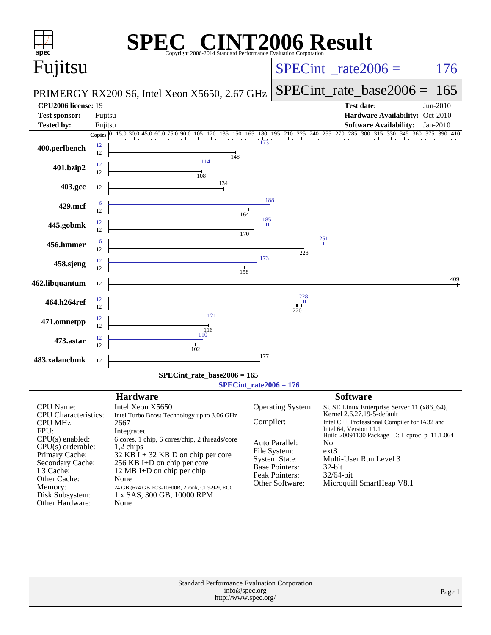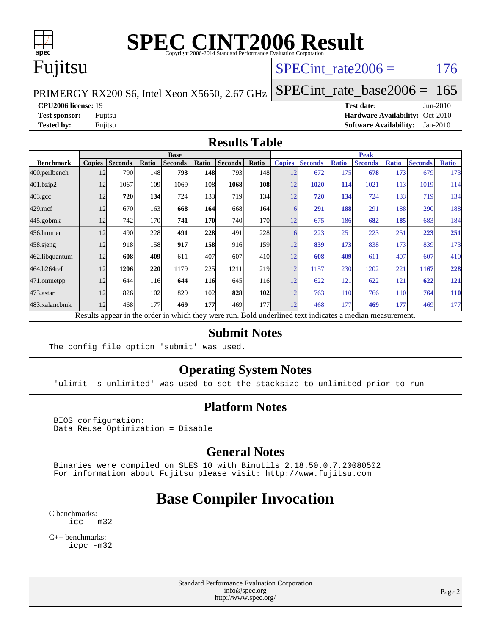

# Fujitsu

#### SPECint rate $2006 = 176$

PRIMERGY RX200 S6, Intel Xeon X5650, 2.67 GHz

[SPECint\\_rate\\_base2006 =](http://www.spec.org/auto/cpu2006/Docs/result-fields.html#SPECintratebase2006) 165

#### **[CPU2006 license:](http://www.spec.org/auto/cpu2006/Docs/result-fields.html#CPU2006license)** 19 **[Test date:](http://www.spec.org/auto/cpu2006/Docs/result-fields.html#Testdate)** Jun-2010

**[Test sponsor:](http://www.spec.org/auto/cpu2006/Docs/result-fields.html#Testsponsor)** Fujitsu **[Hardware Availability:](http://www.spec.org/auto/cpu2006/Docs/result-fields.html#HardwareAvailability)** Oct-2010 **[Tested by:](http://www.spec.org/auto/cpu2006/Docs/result-fields.html#Testedby)** Fujitsu **[Software Availability:](http://www.spec.org/auto/cpu2006/Docs/result-fields.html#SoftwareAvailability)** Jan-2010

#### **[Results Table](http://www.spec.org/auto/cpu2006/Docs/result-fields.html#ResultsTable)**

|                    | <b>Base</b>   |                |              |                                                                                                          |            |                |                 | <b>Peak</b>   |                |              |                |              |                |              |
|--------------------|---------------|----------------|--------------|----------------------------------------------------------------------------------------------------------|------------|----------------|-----------------|---------------|----------------|--------------|----------------|--------------|----------------|--------------|
| <b>Benchmark</b>   | <b>Copies</b> | <b>Seconds</b> | <b>Ratio</b> | <b>Seconds</b>                                                                                           | Ratio      | <b>Seconds</b> | Ratio           | <b>Copies</b> | <b>Seconds</b> | <b>Ratio</b> | <b>Seconds</b> | <b>Ratio</b> | <b>Seconds</b> | <b>Ratio</b> |
| 400.perlbench      | 12            | 790            | 148          | 793                                                                                                      | 148        | 793            | 148             | 12            | 672            | 175          | 678            | 173          | 679            | 173          |
| 401.bzip2          | 12            | 1067           | 109          | 1069                                                                                                     | 108        | 1068           | 108             | 12            | 1020           | 114          | 1021           | 113          | 1019           | 114          |
| $403.\mathrm{gcc}$ | 12            | 720            | 134          | 724                                                                                                      | 133        | 719            | 134             | 12            | 720            | 134          | 724            | 133          | 719            | 134          |
| 429.mcf            | 12            | 670            | 163          | 668                                                                                                      | 164        | 668            | 164             |               | <u>291</u>     | 188          | 291            | 188          | 290            | 188          |
| $445$ .gobmk       | 12            | 742            | 170          | 741                                                                                                      | 170        | 740            | 170             | 12            | 675            | 186          | 682            | 185          | 683            | 184          |
| 456.hmmer          | 12            | 490            | 228          | 491                                                                                                      | 228        | 491            | 228             |               | 223            | 251          | 223            | 251          | 223            | 251          |
| $458$ .sjeng       | 12            | 918            | 158          | 917                                                                                                      | 158        | 916            | 159l            | 12            | 839            | 173          | 838            | 173          | 839            | 173          |
| 462.libquantum     | 12            | 608            | 409          | 611                                                                                                      | 407        | 607            | 41 <sub>0</sub> | 12            | 608            | 409          | 611            | 407          | 607            | 410          |
| 464.h264ref        | 12            | 1206           | 220          | 1179                                                                                                     | 225        | 1211           | 219             | 12            | 1157           | 230          | 1202           | 221          | 1167           | 228          |
| 471.omnetpp        | 12            | 644            | 116          | 644                                                                                                      | <b>116</b> | 645            | 116             | 12            | 622            | 121          | 622            | 121          | 622            | <u>121</u>   |
| 473.astar          | 12            | 826            | 102          | 829                                                                                                      | 102        | 828            | 102             | 12            | 763            | 110          | 766            | 110          | 764            | <b>110</b>   |
| 483.xalancbmk      | 12            | 468            | 177          | 469                                                                                                      | 177        | 469            | 177             | 12            | 468            | 177          | 469            | 177          | 469            | 177          |
|                    |               |                |              | Results appear in the order in which they were run. Bold underlined text indicates a median measurement. |            |                |                 |               |                |              |                |              |                |              |

#### **[Submit Notes](http://www.spec.org/auto/cpu2006/Docs/result-fields.html#SubmitNotes)**

The config file option 'submit' was used.

#### **[Operating System Notes](http://www.spec.org/auto/cpu2006/Docs/result-fields.html#OperatingSystemNotes)**

'ulimit -s unlimited' was used to set the stacksize to unlimited prior to run

#### **[Platform Notes](http://www.spec.org/auto/cpu2006/Docs/result-fields.html#PlatformNotes)**

 BIOS configuration: Data Reuse Optimization = Disable

#### **[General Notes](http://www.spec.org/auto/cpu2006/Docs/result-fields.html#GeneralNotes)**

 Binaries were compiled on SLES 10 with Binutils 2.18.50.0.7.20080502 For information about Fujitsu please visit: <http://www.fujitsu.com>

### **[Base Compiler Invocation](http://www.spec.org/auto/cpu2006/Docs/result-fields.html#BaseCompilerInvocation)**

[C benchmarks](http://www.spec.org/auto/cpu2006/Docs/result-fields.html#Cbenchmarks): [icc -m32](http://www.spec.org/cpu2006/results/res2010q3/cpu2006-20100706-12287.flags.html#user_CCbase_intel_icc_32bit_5ff4a39e364c98233615fdd38438c6f2)

[C++ benchmarks:](http://www.spec.org/auto/cpu2006/Docs/result-fields.html#CXXbenchmarks) [icpc -m32](http://www.spec.org/cpu2006/results/res2010q3/cpu2006-20100706-12287.flags.html#user_CXXbase_intel_icpc_32bit_4e5a5ef1a53fd332b3c49e69c3330699)

> Standard Performance Evaluation Corporation [info@spec.org](mailto:info@spec.org) <http://www.spec.org/>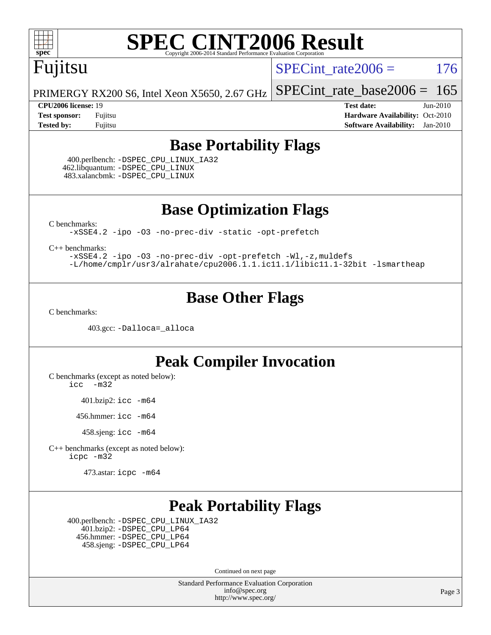

### Fujitsu

SPECint rate $2006 = 176$ 

[SPECint\\_rate\\_base2006 =](http://www.spec.org/auto/cpu2006/Docs/result-fields.html#SPECintratebase2006)  $165$ 

PRIMERGY RX200 S6, Intel Xeon X5650, 2.67 GHz

**[CPU2006 license:](http://www.spec.org/auto/cpu2006/Docs/result-fields.html#CPU2006license)** 19 **[Test date:](http://www.spec.org/auto/cpu2006/Docs/result-fields.html#Testdate)** Jun-2010 **[Test sponsor:](http://www.spec.org/auto/cpu2006/Docs/result-fields.html#Testsponsor)** Fujitsu **[Hardware Availability:](http://www.spec.org/auto/cpu2006/Docs/result-fields.html#HardwareAvailability)** Oct-2010 **[Tested by:](http://www.spec.org/auto/cpu2006/Docs/result-fields.html#Testedby)** Fujitsu **[Software Availability:](http://www.spec.org/auto/cpu2006/Docs/result-fields.html#SoftwareAvailability)** Jan-2010

#### **[Base Portability Flags](http://www.spec.org/auto/cpu2006/Docs/result-fields.html#BasePortabilityFlags)**

 400.perlbench: [-DSPEC\\_CPU\\_LINUX\\_IA32](http://www.spec.org/cpu2006/results/res2010q3/cpu2006-20100706-12287.flags.html#b400.perlbench_baseCPORTABILITY_DSPEC_CPU_LINUX_IA32) 462.libquantum: [-DSPEC\\_CPU\\_LINUX](http://www.spec.org/cpu2006/results/res2010q3/cpu2006-20100706-12287.flags.html#b462.libquantum_baseCPORTABILITY_DSPEC_CPU_LINUX) 483.xalancbmk: [-DSPEC\\_CPU\\_LINUX](http://www.spec.org/cpu2006/results/res2010q3/cpu2006-20100706-12287.flags.html#b483.xalancbmk_baseCXXPORTABILITY_DSPEC_CPU_LINUX)

**[Base Optimization Flags](http://www.spec.org/auto/cpu2006/Docs/result-fields.html#BaseOptimizationFlags)**

[C benchmarks](http://www.spec.org/auto/cpu2006/Docs/result-fields.html#Cbenchmarks):

[-xSSE4.2](http://www.spec.org/cpu2006/results/res2010q3/cpu2006-20100706-12287.flags.html#user_CCbase_f-xSSE42_f91528193cf0b216347adb8b939d4107) [-ipo](http://www.spec.org/cpu2006/results/res2010q3/cpu2006-20100706-12287.flags.html#user_CCbase_f-ipo) [-O3](http://www.spec.org/cpu2006/results/res2010q3/cpu2006-20100706-12287.flags.html#user_CCbase_f-O3) [-no-prec-div](http://www.spec.org/cpu2006/results/res2010q3/cpu2006-20100706-12287.flags.html#user_CCbase_f-no-prec-div) [-static](http://www.spec.org/cpu2006/results/res2010q3/cpu2006-20100706-12287.flags.html#user_CCbase_f-static) [-opt-prefetch](http://www.spec.org/cpu2006/results/res2010q3/cpu2006-20100706-12287.flags.html#user_CCbase_f-opt-prefetch)

[C++ benchmarks:](http://www.spec.org/auto/cpu2006/Docs/result-fields.html#CXXbenchmarks)

[-xSSE4.2](http://www.spec.org/cpu2006/results/res2010q3/cpu2006-20100706-12287.flags.html#user_CXXbase_f-xSSE42_f91528193cf0b216347adb8b939d4107) [-ipo](http://www.spec.org/cpu2006/results/res2010q3/cpu2006-20100706-12287.flags.html#user_CXXbase_f-ipo) [-O3](http://www.spec.org/cpu2006/results/res2010q3/cpu2006-20100706-12287.flags.html#user_CXXbase_f-O3) [-no-prec-div](http://www.spec.org/cpu2006/results/res2010q3/cpu2006-20100706-12287.flags.html#user_CXXbase_f-no-prec-div) [-opt-prefetch](http://www.spec.org/cpu2006/results/res2010q3/cpu2006-20100706-12287.flags.html#user_CXXbase_f-opt-prefetch) [-Wl,-z,muldefs](http://www.spec.org/cpu2006/results/res2010q3/cpu2006-20100706-12287.flags.html#user_CXXbase_link_force_multiple1_74079c344b956b9658436fd1b6dd3a8a) [-L/home/cmplr/usr3/alrahate/cpu2006.1.1.ic11.1/libic11.1-32bit -lsmartheap](http://www.spec.org/cpu2006/results/res2010q3/cpu2006-20100706-12287.flags.html#user_CXXbase_SmartHeap_d86dffe4a79b79ef8890d5cce17030c3)

#### **[Base Other Flags](http://www.spec.org/auto/cpu2006/Docs/result-fields.html#BaseOtherFlags)**

[C benchmarks](http://www.spec.org/auto/cpu2006/Docs/result-fields.html#Cbenchmarks):

403.gcc: [-Dalloca=\\_alloca](http://www.spec.org/cpu2006/results/res2010q3/cpu2006-20100706-12287.flags.html#b403.gcc_baseEXTRA_CFLAGS_Dalloca_be3056838c12de2578596ca5467af7f3)

#### **[Peak Compiler Invocation](http://www.spec.org/auto/cpu2006/Docs/result-fields.html#PeakCompilerInvocation)**

[C benchmarks \(except as noted below\)](http://www.spec.org/auto/cpu2006/Docs/result-fields.html#Cbenchmarksexceptasnotedbelow):

[icc -m32](http://www.spec.org/cpu2006/results/res2010q3/cpu2006-20100706-12287.flags.html#user_CCpeak_intel_icc_32bit_5ff4a39e364c98233615fdd38438c6f2)

401.bzip2: [icc -m64](http://www.spec.org/cpu2006/results/res2010q3/cpu2006-20100706-12287.flags.html#user_peakCCLD401_bzip2_intel_icc_64bit_bda6cc9af1fdbb0edc3795bac97ada53)

456.hmmer: [icc -m64](http://www.spec.org/cpu2006/results/res2010q3/cpu2006-20100706-12287.flags.html#user_peakCCLD456_hmmer_intel_icc_64bit_bda6cc9af1fdbb0edc3795bac97ada53)

458.sjeng: [icc -m64](http://www.spec.org/cpu2006/results/res2010q3/cpu2006-20100706-12287.flags.html#user_peakCCLD458_sjeng_intel_icc_64bit_bda6cc9af1fdbb0edc3795bac97ada53)

[C++ benchmarks \(except as noted below\):](http://www.spec.org/auto/cpu2006/Docs/result-fields.html#CXXbenchmarksexceptasnotedbelow) [icpc -m32](http://www.spec.org/cpu2006/results/res2010q3/cpu2006-20100706-12287.flags.html#user_CXXpeak_intel_icpc_32bit_4e5a5ef1a53fd332b3c49e69c3330699)

473.astar: [icpc -m64](http://www.spec.org/cpu2006/results/res2010q3/cpu2006-20100706-12287.flags.html#user_peakCXXLD473_astar_intel_icpc_64bit_fc66a5337ce925472a5c54ad6a0de310)

#### **[Peak Portability Flags](http://www.spec.org/auto/cpu2006/Docs/result-fields.html#PeakPortabilityFlags)**

 400.perlbench: [-DSPEC\\_CPU\\_LINUX\\_IA32](http://www.spec.org/cpu2006/results/res2010q3/cpu2006-20100706-12287.flags.html#b400.perlbench_peakCPORTABILITY_DSPEC_CPU_LINUX_IA32) 401.bzip2: [-DSPEC\\_CPU\\_LP64](http://www.spec.org/cpu2006/results/res2010q3/cpu2006-20100706-12287.flags.html#suite_peakCPORTABILITY401_bzip2_DSPEC_CPU_LP64) 456.hmmer: [-DSPEC\\_CPU\\_LP64](http://www.spec.org/cpu2006/results/res2010q3/cpu2006-20100706-12287.flags.html#suite_peakCPORTABILITY456_hmmer_DSPEC_CPU_LP64) 458.sjeng: [-DSPEC\\_CPU\\_LP64](http://www.spec.org/cpu2006/results/res2010q3/cpu2006-20100706-12287.flags.html#suite_peakCPORTABILITY458_sjeng_DSPEC_CPU_LP64)

Continued on next page

Standard Performance Evaluation Corporation [info@spec.org](mailto:info@spec.org) <http://www.spec.org/>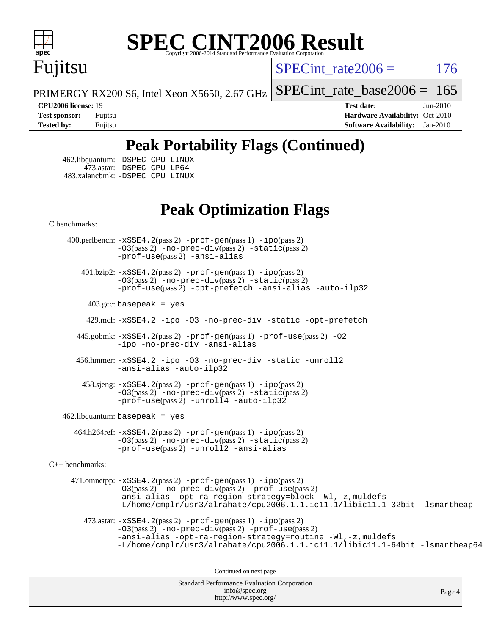

# Fujitsu

SPECint rate $2006 = 176$ 

[SPECint\\_rate\\_base2006 =](http://www.spec.org/auto/cpu2006/Docs/result-fields.html#SPECintratebase2006)  $165$ 

PRIMERGY RX200 S6, Intel Xeon X5650, 2.67 GHz

**[CPU2006 license:](http://www.spec.org/auto/cpu2006/Docs/result-fields.html#CPU2006license)** 19 **[Test date:](http://www.spec.org/auto/cpu2006/Docs/result-fields.html#Testdate)** Jun-2010 **[Test sponsor:](http://www.spec.org/auto/cpu2006/Docs/result-fields.html#Testsponsor)** Fujitsu **[Hardware Availability:](http://www.spec.org/auto/cpu2006/Docs/result-fields.html#HardwareAvailability)** Oct-2010 **[Tested by:](http://www.spec.org/auto/cpu2006/Docs/result-fields.html#Testedby)** Fujitsu **[Software Availability:](http://www.spec.org/auto/cpu2006/Docs/result-fields.html#SoftwareAvailability)** Jan-2010

### **[Peak Portability Flags \(Continued\)](http://www.spec.org/auto/cpu2006/Docs/result-fields.html#PeakPortabilityFlags)**

 462.libquantum: [-DSPEC\\_CPU\\_LINUX](http://www.spec.org/cpu2006/results/res2010q3/cpu2006-20100706-12287.flags.html#b462.libquantum_peakCPORTABILITY_DSPEC_CPU_LINUX) 473.astar: [-DSPEC\\_CPU\\_LP64](http://www.spec.org/cpu2006/results/res2010q3/cpu2006-20100706-12287.flags.html#suite_peakCXXPORTABILITY473_astar_DSPEC_CPU_LP64) 483.xalancbmk: [-DSPEC\\_CPU\\_LINUX](http://www.spec.org/cpu2006/results/res2010q3/cpu2006-20100706-12287.flags.html#b483.xalancbmk_peakCXXPORTABILITY_DSPEC_CPU_LINUX)

#### **[Peak Optimization Flags](http://www.spec.org/auto/cpu2006/Docs/result-fields.html#PeakOptimizationFlags)**

[C benchmarks](http://www.spec.org/auto/cpu2006/Docs/result-fields.html#Cbenchmarks):

 400.perlbench: [-xSSE4.2](http://www.spec.org/cpu2006/results/res2010q3/cpu2006-20100706-12287.flags.html#user_peakPASS2_CFLAGSPASS2_LDCFLAGS400_perlbench_f-xSSE42_f91528193cf0b216347adb8b939d4107)(pass 2) [-prof-gen](http://www.spec.org/cpu2006/results/res2010q3/cpu2006-20100706-12287.flags.html#user_peakPASS1_CFLAGSPASS1_LDCFLAGS400_perlbench_prof_gen_e43856698f6ca7b7e442dfd80e94a8fc)(pass 1) [-ipo](http://www.spec.org/cpu2006/results/res2010q3/cpu2006-20100706-12287.flags.html#user_peakPASS2_CFLAGSPASS2_LDCFLAGS400_perlbench_f-ipo)(pass 2) [-O3](http://www.spec.org/cpu2006/results/res2010q3/cpu2006-20100706-12287.flags.html#user_peakPASS2_CFLAGSPASS2_LDCFLAGS400_perlbench_f-O3)(pass 2) [-no-prec-div](http://www.spec.org/cpu2006/results/res2010q3/cpu2006-20100706-12287.flags.html#user_peakPASS2_CFLAGSPASS2_LDCFLAGS400_perlbench_f-no-prec-div)(pass 2) [-static](http://www.spec.org/cpu2006/results/res2010q3/cpu2006-20100706-12287.flags.html#user_peakPASS2_CFLAGSPASS2_LDCFLAGS400_perlbench_f-static)(pass 2) [-prof-use](http://www.spec.org/cpu2006/results/res2010q3/cpu2006-20100706-12287.flags.html#user_peakPASS2_CFLAGSPASS2_LDCFLAGS400_perlbench_prof_use_bccf7792157ff70d64e32fe3e1250b55)(pass 2) [-ansi-alias](http://www.spec.org/cpu2006/results/res2010q3/cpu2006-20100706-12287.flags.html#user_peakCOPTIMIZE400_perlbench_f-ansi-alias)

 401.bzip2: [-xSSE4.2](http://www.spec.org/cpu2006/results/res2010q3/cpu2006-20100706-12287.flags.html#user_peakPASS2_CFLAGSPASS2_LDCFLAGS401_bzip2_f-xSSE42_f91528193cf0b216347adb8b939d4107)(pass 2) [-prof-gen](http://www.spec.org/cpu2006/results/res2010q3/cpu2006-20100706-12287.flags.html#user_peakPASS1_CFLAGSPASS1_LDCFLAGS401_bzip2_prof_gen_e43856698f6ca7b7e442dfd80e94a8fc)(pass 1) [-ipo](http://www.spec.org/cpu2006/results/res2010q3/cpu2006-20100706-12287.flags.html#user_peakPASS2_CFLAGSPASS2_LDCFLAGS401_bzip2_f-ipo)(pass 2) [-O3](http://www.spec.org/cpu2006/results/res2010q3/cpu2006-20100706-12287.flags.html#user_peakPASS2_CFLAGSPASS2_LDCFLAGS401_bzip2_f-O3)(pass 2) [-no-prec-div](http://www.spec.org/cpu2006/results/res2010q3/cpu2006-20100706-12287.flags.html#user_peakPASS2_CFLAGSPASS2_LDCFLAGS401_bzip2_f-no-prec-div)(pass 2) [-static](http://www.spec.org/cpu2006/results/res2010q3/cpu2006-20100706-12287.flags.html#user_peakPASS2_CFLAGSPASS2_LDCFLAGS401_bzip2_f-static)(pass 2) [-prof-use](http://www.spec.org/cpu2006/results/res2010q3/cpu2006-20100706-12287.flags.html#user_peakPASS2_CFLAGSPASS2_LDCFLAGS401_bzip2_prof_use_bccf7792157ff70d64e32fe3e1250b55)(pass 2) [-opt-prefetch](http://www.spec.org/cpu2006/results/res2010q3/cpu2006-20100706-12287.flags.html#user_peakCOPTIMIZE401_bzip2_f-opt-prefetch) [-ansi-alias](http://www.spec.org/cpu2006/results/res2010q3/cpu2006-20100706-12287.flags.html#user_peakCOPTIMIZE401_bzip2_f-ansi-alias) [-auto-ilp32](http://www.spec.org/cpu2006/results/res2010q3/cpu2006-20100706-12287.flags.html#user_peakCOPTIMIZE401_bzip2_f-auto-ilp32)

 $403.\text{gcc: basepeak}$  = yes

429.mcf: [-xSSE4.2](http://www.spec.org/cpu2006/results/res2010q3/cpu2006-20100706-12287.flags.html#user_peakCOPTIMIZE429_mcf_f-xSSE42_f91528193cf0b216347adb8b939d4107) [-ipo](http://www.spec.org/cpu2006/results/res2010q3/cpu2006-20100706-12287.flags.html#user_peakCOPTIMIZE429_mcf_f-ipo) [-O3](http://www.spec.org/cpu2006/results/res2010q3/cpu2006-20100706-12287.flags.html#user_peakCOPTIMIZE429_mcf_f-O3) [-no-prec-div](http://www.spec.org/cpu2006/results/res2010q3/cpu2006-20100706-12287.flags.html#user_peakCOPTIMIZE429_mcf_f-no-prec-div) [-static](http://www.spec.org/cpu2006/results/res2010q3/cpu2006-20100706-12287.flags.html#user_peakCOPTIMIZE429_mcf_f-static) [-opt-prefetch](http://www.spec.org/cpu2006/results/res2010q3/cpu2006-20100706-12287.flags.html#user_peakCOPTIMIZE429_mcf_f-opt-prefetch)

 445.gobmk: [-xSSE4.2](http://www.spec.org/cpu2006/results/res2010q3/cpu2006-20100706-12287.flags.html#user_peakPASS2_CFLAGSPASS2_LDCFLAGS445_gobmk_f-xSSE42_f91528193cf0b216347adb8b939d4107)(pass 2) [-prof-gen](http://www.spec.org/cpu2006/results/res2010q3/cpu2006-20100706-12287.flags.html#user_peakPASS1_CFLAGSPASS1_LDCFLAGS445_gobmk_prof_gen_e43856698f6ca7b7e442dfd80e94a8fc)(pass 1) [-prof-use](http://www.spec.org/cpu2006/results/res2010q3/cpu2006-20100706-12287.flags.html#user_peakPASS2_CFLAGSPASS2_LDCFLAGS445_gobmk_prof_use_bccf7792157ff70d64e32fe3e1250b55)(pass 2) [-O2](http://www.spec.org/cpu2006/results/res2010q3/cpu2006-20100706-12287.flags.html#user_peakCOPTIMIZE445_gobmk_f-O2) [-ipo](http://www.spec.org/cpu2006/results/res2010q3/cpu2006-20100706-12287.flags.html#user_peakCOPTIMIZE445_gobmk_f-ipo) [-no-prec-div](http://www.spec.org/cpu2006/results/res2010q3/cpu2006-20100706-12287.flags.html#user_peakCOPTIMIZE445_gobmk_f-no-prec-div) [-ansi-alias](http://www.spec.org/cpu2006/results/res2010q3/cpu2006-20100706-12287.flags.html#user_peakCOPTIMIZE445_gobmk_f-ansi-alias)

 456.hmmer: [-xSSE4.2](http://www.spec.org/cpu2006/results/res2010q3/cpu2006-20100706-12287.flags.html#user_peakCOPTIMIZE456_hmmer_f-xSSE42_f91528193cf0b216347adb8b939d4107) [-ipo](http://www.spec.org/cpu2006/results/res2010q3/cpu2006-20100706-12287.flags.html#user_peakCOPTIMIZE456_hmmer_f-ipo) [-O3](http://www.spec.org/cpu2006/results/res2010q3/cpu2006-20100706-12287.flags.html#user_peakCOPTIMIZE456_hmmer_f-O3) [-no-prec-div](http://www.spec.org/cpu2006/results/res2010q3/cpu2006-20100706-12287.flags.html#user_peakCOPTIMIZE456_hmmer_f-no-prec-div) [-static](http://www.spec.org/cpu2006/results/res2010q3/cpu2006-20100706-12287.flags.html#user_peakCOPTIMIZE456_hmmer_f-static) [-unroll2](http://www.spec.org/cpu2006/results/res2010q3/cpu2006-20100706-12287.flags.html#user_peakCOPTIMIZE456_hmmer_f-unroll_784dae83bebfb236979b41d2422d7ec2) [-ansi-alias](http://www.spec.org/cpu2006/results/res2010q3/cpu2006-20100706-12287.flags.html#user_peakCOPTIMIZE456_hmmer_f-ansi-alias) [-auto-ilp32](http://www.spec.org/cpu2006/results/res2010q3/cpu2006-20100706-12287.flags.html#user_peakCOPTIMIZE456_hmmer_f-auto-ilp32)

 458.sjeng: [-xSSE4.2](http://www.spec.org/cpu2006/results/res2010q3/cpu2006-20100706-12287.flags.html#user_peakPASS2_CFLAGSPASS2_LDCFLAGS458_sjeng_f-xSSE42_f91528193cf0b216347adb8b939d4107)(pass 2) [-prof-gen](http://www.spec.org/cpu2006/results/res2010q3/cpu2006-20100706-12287.flags.html#user_peakPASS1_CFLAGSPASS1_LDCFLAGS458_sjeng_prof_gen_e43856698f6ca7b7e442dfd80e94a8fc)(pass 1) [-ipo](http://www.spec.org/cpu2006/results/res2010q3/cpu2006-20100706-12287.flags.html#user_peakPASS2_CFLAGSPASS2_LDCFLAGS458_sjeng_f-ipo)(pass 2) [-O3](http://www.spec.org/cpu2006/results/res2010q3/cpu2006-20100706-12287.flags.html#user_peakPASS2_CFLAGSPASS2_LDCFLAGS458_sjeng_f-O3)(pass 2) [-no-prec-div](http://www.spec.org/cpu2006/results/res2010q3/cpu2006-20100706-12287.flags.html#user_peakPASS2_CFLAGSPASS2_LDCFLAGS458_sjeng_f-no-prec-div)(pass 2) [-static](http://www.spec.org/cpu2006/results/res2010q3/cpu2006-20100706-12287.flags.html#user_peakPASS2_CFLAGSPASS2_LDCFLAGS458_sjeng_f-static)(pass 2)  $-prof-use(pass 2) -unroll4 -auto-ilp32$  $-prof-use(pass 2) -unroll4 -auto-ilp32$  $-prof-use(pass 2) -unroll4 -auto-ilp32$  $-prof-use(pass 2) -unroll4 -auto-ilp32$  $-prof-use(pass 2) -unroll4 -auto-ilp32$ 

462.libquantum: basepeak = yes

 464.h264ref: [-xSSE4.2](http://www.spec.org/cpu2006/results/res2010q3/cpu2006-20100706-12287.flags.html#user_peakPASS2_CFLAGSPASS2_LDCFLAGS464_h264ref_f-xSSE42_f91528193cf0b216347adb8b939d4107)(pass 2) [-prof-gen](http://www.spec.org/cpu2006/results/res2010q3/cpu2006-20100706-12287.flags.html#user_peakPASS1_CFLAGSPASS1_LDCFLAGS464_h264ref_prof_gen_e43856698f6ca7b7e442dfd80e94a8fc)(pass 1) [-ipo](http://www.spec.org/cpu2006/results/res2010q3/cpu2006-20100706-12287.flags.html#user_peakPASS2_CFLAGSPASS2_LDCFLAGS464_h264ref_f-ipo)(pass 2) [-O3](http://www.spec.org/cpu2006/results/res2010q3/cpu2006-20100706-12287.flags.html#user_peakPASS2_CFLAGSPASS2_LDCFLAGS464_h264ref_f-O3)(pass 2) [-no-prec-div](http://www.spec.org/cpu2006/results/res2010q3/cpu2006-20100706-12287.flags.html#user_peakPASS2_CFLAGSPASS2_LDCFLAGS464_h264ref_f-no-prec-div)(pass 2) [-static](http://www.spec.org/cpu2006/results/res2010q3/cpu2006-20100706-12287.flags.html#user_peakPASS2_CFLAGSPASS2_LDCFLAGS464_h264ref_f-static)(pass 2) [-prof-use](http://www.spec.org/cpu2006/results/res2010q3/cpu2006-20100706-12287.flags.html#user_peakPASS2_CFLAGSPASS2_LDCFLAGS464_h264ref_prof_use_bccf7792157ff70d64e32fe3e1250b55)(pass 2) [-unroll2](http://www.spec.org/cpu2006/results/res2010q3/cpu2006-20100706-12287.flags.html#user_peakCOPTIMIZE464_h264ref_f-unroll_784dae83bebfb236979b41d2422d7ec2) [-ansi-alias](http://www.spec.org/cpu2006/results/res2010q3/cpu2006-20100706-12287.flags.html#user_peakCOPTIMIZE464_h264ref_f-ansi-alias)

[C++ benchmarks:](http://www.spec.org/auto/cpu2006/Docs/result-fields.html#CXXbenchmarks)

 471.omnetpp: [-xSSE4.2](http://www.spec.org/cpu2006/results/res2010q3/cpu2006-20100706-12287.flags.html#user_peakPASS2_CXXFLAGSPASS2_LDCXXFLAGS471_omnetpp_f-xSSE42_f91528193cf0b216347adb8b939d4107)(pass 2) [-prof-gen](http://www.spec.org/cpu2006/results/res2010q3/cpu2006-20100706-12287.flags.html#user_peakPASS1_CXXFLAGSPASS1_LDCXXFLAGS471_omnetpp_prof_gen_e43856698f6ca7b7e442dfd80e94a8fc)(pass 1) [-ipo](http://www.spec.org/cpu2006/results/res2010q3/cpu2006-20100706-12287.flags.html#user_peakPASS2_CXXFLAGSPASS2_LDCXXFLAGS471_omnetpp_f-ipo)(pass 2) [-O3](http://www.spec.org/cpu2006/results/res2010q3/cpu2006-20100706-12287.flags.html#user_peakPASS2_CXXFLAGSPASS2_LDCXXFLAGS471_omnetpp_f-O3)(pass 2) [-no-prec-div](http://www.spec.org/cpu2006/results/res2010q3/cpu2006-20100706-12287.flags.html#user_peakPASS2_CXXFLAGSPASS2_LDCXXFLAGS471_omnetpp_f-no-prec-div)(pass 2) [-prof-use](http://www.spec.org/cpu2006/results/res2010q3/cpu2006-20100706-12287.flags.html#user_peakPASS2_CXXFLAGSPASS2_LDCXXFLAGS471_omnetpp_prof_use_bccf7792157ff70d64e32fe3e1250b55)(pass 2) [-ansi-alias](http://www.spec.org/cpu2006/results/res2010q3/cpu2006-20100706-12287.flags.html#user_peakCXXOPTIMIZE471_omnetpp_f-ansi-alias) [-opt-ra-region-strategy=block](http://www.spec.org/cpu2006/results/res2010q3/cpu2006-20100706-12287.flags.html#user_peakCXXOPTIMIZE471_omnetpp_f-opt-ra-region-strategy-block_a0a37c372d03933b2a18d4af463c1f69) [-Wl,-z,muldefs](http://www.spec.org/cpu2006/results/res2010q3/cpu2006-20100706-12287.flags.html#user_peakEXTRA_LDFLAGS471_omnetpp_link_force_multiple1_74079c344b956b9658436fd1b6dd3a8a) [-L/home/cmplr/usr3/alrahate/cpu2006.1.1.ic11.1/libic11.1-32bit -lsmartheap](http://www.spec.org/cpu2006/results/res2010q3/cpu2006-20100706-12287.flags.html#user_peakEXTRA_LIBS471_omnetpp_SmartHeap_d86dffe4a79b79ef8890d5cce17030c3)

473.astar:  $-xSSE4$ . 2(pass 2)  $-prof-gen(pass 1) -ipo(pass 2)$  $-prof-gen(pass 1) -ipo(pass 2)$  $-prof-gen(pass 1) -ipo(pass 2)$  $-prof-gen(pass 1) -ipo(pass 2)$ [-O3](http://www.spec.org/cpu2006/results/res2010q3/cpu2006-20100706-12287.flags.html#user_peakPASS2_CXXFLAGSPASS2_LDCXXFLAGS473_astar_f-O3)(pass 2) [-no-prec-div](http://www.spec.org/cpu2006/results/res2010q3/cpu2006-20100706-12287.flags.html#user_peakPASS2_CXXFLAGSPASS2_LDCXXFLAGS473_astar_f-no-prec-div)(pass 2) [-prof-use](http://www.spec.org/cpu2006/results/res2010q3/cpu2006-20100706-12287.flags.html#user_peakPASS2_CXXFLAGSPASS2_LDCXXFLAGS473_astar_prof_use_bccf7792157ff70d64e32fe3e1250b55)(pass 2) [-ansi-alias](http://www.spec.org/cpu2006/results/res2010q3/cpu2006-20100706-12287.flags.html#user_peakCXXOPTIMIZE473_astar_f-ansi-alias) [-opt-ra-region-strategy=routine](http://www.spec.org/cpu2006/results/res2010q3/cpu2006-20100706-12287.flags.html#user_peakCXXOPTIMIZE473_astar_f-opt-ra-region-strategy-routine_ba086ea3b1d46a52e1238e2ca173ed44) [-Wl,-z,muldefs](http://www.spec.org/cpu2006/results/res2010q3/cpu2006-20100706-12287.flags.html#user_peakEXTRA_LDFLAGS473_astar_link_force_multiple1_74079c344b956b9658436fd1b6dd3a8a) [-L/home/cmplr/usr3/alrahate/cpu2006.1.1.ic11.1/libic11.1-64bit -lsmartheap64](http://www.spec.org/cpu2006/results/res2010q3/cpu2006-20100706-12287.flags.html#user_peakEXTRA_LIBS473_astar_SmartHeap64_e2306cda84805d1ab360117a79ff779c)

Continued on next page

Standard Performance Evaluation Corporation [info@spec.org](mailto:info@spec.org) <http://www.spec.org/>

Page 4